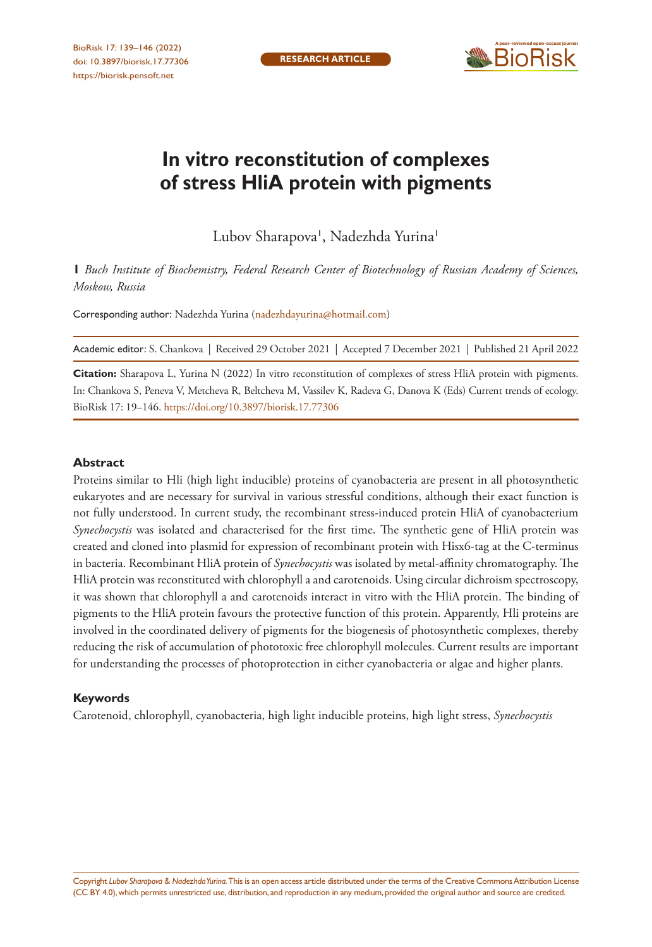

# **In vitro reconstitution of complexes of stress HliA protein with pigments**

Lubov Sharapova', Nadezhda Yurina'

**1** *Buch Institute of Biochemistry, Federal Research Center of Biotechnology of Russian Academy of Sciences, Moskow, Russia*

Corresponding author: Nadezhda Yurina [\(nadezhdayurina@hotmail.com](mailto:nadezhdayurina@hotmail.com))

Academic editor: S. Chankova | Received 29 October 2021 | Accepted 7 December 2021 | Published 21 April 2022

**Citation:** Sharapova L, Yurina N (2022) In vitro reconstitution of complexes of stress HliA protein with pigments. In: Chankova S, Peneva V, Metcheva R, Beltcheva M, Vassilev K, Radeva G, Danova K (Eds) Current trends of ecology. BioRisk 17: 19–146. <https://doi.org/10.3897/biorisk.17.77306>

#### **Abstract**

Proteins similar to Hli (high light inducible) proteins of cyanobacteria are present in all photosynthetic eukaryotes and are necessary for survival in various stressful conditions, although their exact function is not fully understood. In current study, the recombinant stress-induced protein HliA of cyanobacterium *Synechocystis* was isolated and characterised for the first time. The synthetic gene of HliA protein was created and cloned into plasmid for expression of recombinant protein with Hisx6-tag at the C-terminus in bacteria. Recombinant HliA protein of *Synechocystis* was isolated by metal-affinity chromatography. The HliA protein was reconstituted with chlorophyll a and carotenoids. Using circular dichroism spectroscopy, it was shown that chlorophyll a and carotenoids interact in vitro with the HliA protein. The binding of pigments to the HliA protein favours the protective function of this protein. Apparently, Hli proteins are involved in the coordinated delivery of pigments for the biogenesis of photosynthetic complexes, thereby reducing the risk of accumulation of phototoxic free chlorophyll molecules. Current results are important for understanding the processes of photoprotection in either cyanobacteria or algae and higher plants.

#### **Keywords**

Carotenoid, chlorophyll, cyanobacteria, high light inducible proteins, high light stress, *Synechocystis*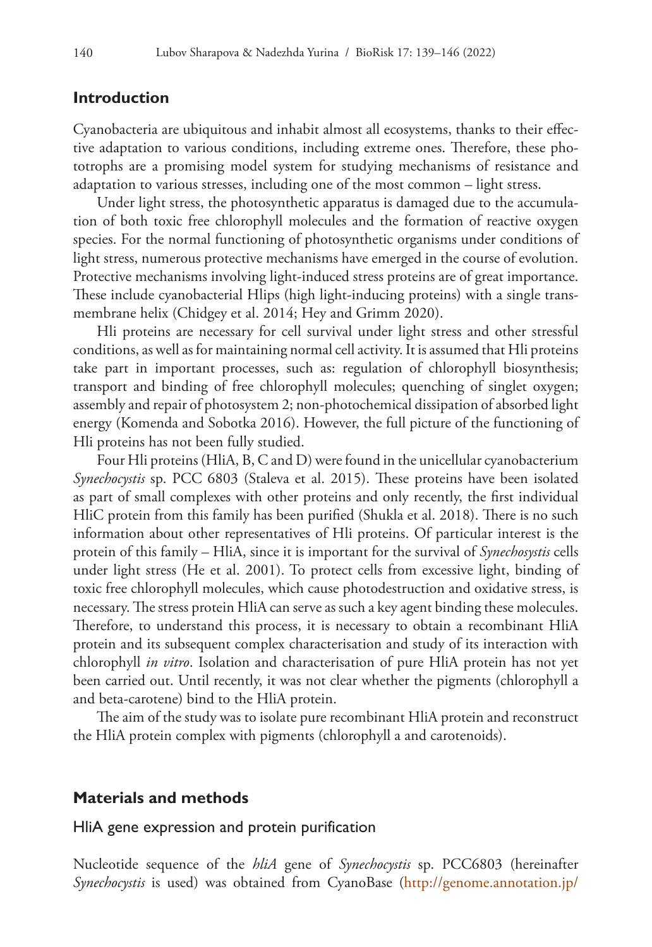## **Introduction**

Cyanobacteria are ubiquitous and inhabit almost all ecosystems, thanks to their effective adaptation to various conditions, including extreme ones. Therefore, these phototrophs are a promising model system for studying mechanisms of resistance and adaptation to various stresses, including one of the most common – light stress.

Under light stress, the photosynthetic apparatus is damaged due to the accumulation of both toxic free chlorophyll molecules and the formation of reactive oxygen species. For the normal functioning of photosynthetic organisms under conditions of light stress, numerous protective mechanisms have emerged in the course of evolution. Protective mechanisms involving light-induced stress proteins are of great importance. These include cyanobacterial Hlips (high light-inducing proteins) with a single transmembrane helix (Chidgey et al. 2014; Hey and Grimm 2020).

Hli proteins are necessary for cell survival under light stress and other stressful conditions, as well as for maintaining normal cell activity. It is assumed that Hli proteins take part in important processes, such as: regulation of chlorophyll biosynthesis; transport and binding of free chlorophyll molecules; quenching of singlet oxygen; assembly and repair of photosystem 2; non-photochemical dissipation of absorbed light energy (Komenda and Sobotka 2016). However, the full picture of the functioning of Hli proteins has not been fully studied.

Four Hli proteins (HliA, B, C and D) were found in the unicellular cyanobacterium *Synechocystis* sp. PCC 6803 (Staleva et al. 2015). These proteins have been isolated as part of small complexes with other proteins and only recently, the first individual HliC protein from this family has been purified (Shukla et al. 2018). There is no such information about other representatives of Hli proteins. Of particular interest is the protein of this family – HliA, since it is important for the survival of *Synechosystis* cells under light stress (He et al. 2001). To protect cells from excessive light, binding of toxic free chlorophyll molecules, which cause photodestruction and oxidative stress, is necessary. The stress protein HliA can serve as such a key agent binding these molecules. Therefore, to understand this process, it is necessary to obtain a recombinant HliA protein and its subsequent complex characterisation and study of its interaction with chlorophyll *in vitro*. Isolation and characterisation of pure HliA protein has not yet been carried out. Until recently, it was not clear whether the pigments (chlorophyll a and beta-carotene) bind to the HliA protein.

The aim of the study was to isolate pure recombinant HliA protein and reconstruct the HliA protein complex with pigments (chlorophyll a and carotenoids).

## **Materials and methods**

#### HliA gene expression and protein purification

Nucleotide sequence of the *hliA* gene of *Synechocystis* sp. PCC6803 (hereinafter *Synechocystis* is used) was obtained from CyanoBase ([http://genome.annotation.jp/](http://genome.annotation.jp/cyanobase/Synechocystis/genes/ssl2542)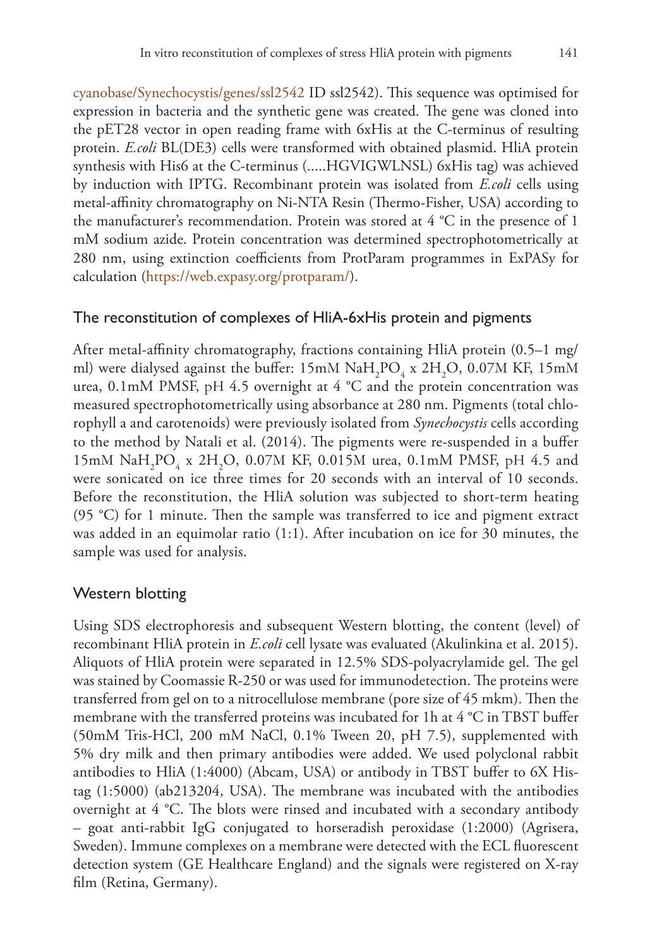[cyanobase/Synechocystis/genes/ssl2542](http://genome.annotation.jp/cyanobase/Synechocystis/genes/ssl2542) ID ssl2542). This sequence was optimised for expression in bacteria and the synthetic gene was created. The gene was cloned into the pET28 vector in open reading frame with 6xHis at the C-terminus of resulting protein. *E.coli* BL(DE3) cells were transformed with obtained plasmid. HliA protein synthesis with His6 at the C-terminus (.....HGVIGWLNSL) 6xHis tag) was achieved by induction with IPTG. Recombinant protein was isolated from *E.coli* cells using metal-affinity chromatography on Ni-NTA Resin (Thermo-Fisher, USA) according to the manufacturer's recommendation. Protein was stored at  $4^{\circ}$ C in the presence of 1 mM sodium azide. Protein concentration was determined spectrophotometrically at 280 nm, using extinction coefficients from ProtParam programmes in ExPASy for calculation ([https://web.expasy.org/protparam/\)](https://web.expasy.org/protparam/).

#### The reconstitution of complexes of HliA-6xHis protein and pigments

After metal-affinity chromatography, fractions containing HliA protein (0.5–1 mg/ ml) were dialysed against the buffer:  $15 \text{mM}$   $\text{NaH}_2\text{PO}_4$  x  $2 \text{H}_2\text{O}$ , 0.07M KF, 15mM urea, 0.1mM PMSF, pH 4.5 overnight at 4  $^{\circ}$ C and the protein concentration was measured spectrophotometrically using absorbance at 280 nm. Pigments (total chlorophyll a and carotenoids) were previously isolated from *Synechocystis* cells according to the method by Natali et al. (2014). The pigments were re-suspended in a buffer 15mM  $\text{NaH}_2\text{PO}_4$  x 2H<sub>2</sub>O, 0.07M KF, 0.015M urea, 0.1mM PMSF, pH 4.5 and were sonicated on ice three times for 20 seconds with an interval of 10 seconds. Before the reconstitution, the HliA solution was subjected to short-term heating (95 °C) for 1 minute. Then the sample was transferred to ice and pigment extract was added in an equimolar ratio (1:1). After incubation on ice for 30 minutes, the sample was used for analysis.

# Western blotting

Using SDS electrophoresis and subsequent Western blotting, the content (level) of recombinant HliA protein in *E.coli* cell lysate was evaluated (Akulinkina et al. 2015). Aliquots of HliA protein were separated in 12.5% SDS-polyacrylamide gel. The gel was stained by Coomassie R-250 or was used for immunodetection. The proteins were transferred from gel on to a nitrocellulose membrane (pore size of 45 mkm). Then the membrane with the transferred proteins was incubated for 1h at 4 °C in TBST buffer (50mM Tris-HCl, 200 mM NaCl, 0.1% Tween 20, pH 7.5), supplemented with 5% dry milk and then primary antibodies were added. We used polyclonal rabbit antibodies to HliA (1:4000) (Abcam, USA) or antibody in TBST buffer to 6X Histag (1:5000) (ab213204, USA). The membrane was incubated with the antibodies overnight at 4 °C. The blots were rinsed and incubated with a secondary antibody – goat anti-rabbit IgG conjugated to horseradish peroxidase (1:2000) (Agrisera, Sweden). Immune complexes on a membrane were detected with the ECL fluorescent detection system (GE Healthcare England) and the signals were registered on X-ray film (Retina, Germany).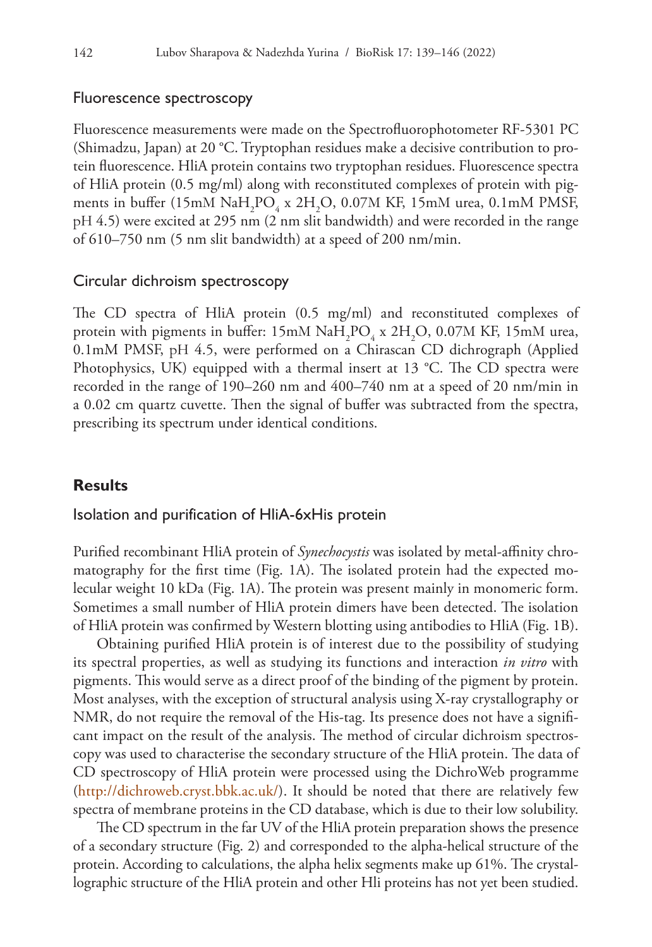#### Fluorescence spectroscopy

Fluorescence measurements were made on the Spectrofluorophotometer RF-5301 PC (Shimadzu, Japan) at 20 °C. Tryptophan residues make a decisive contribution to protein fluorescence. HliA protein contains two tryptophan residues. Fluorescence spectra of HliA protein (0.5 mg/ml) along with reconstituted complexes of protein with pigments in buffer (15mM  $\text{NaH}_2\text{PO}_4 \times 2\text{H}_2\text{O}$ , 0.07M KF, 15mM urea, 0.1mM PMSF, рН 4.5) were excited at 295 nm (2 nm slit bandwidth) and were recorded in the range of 610–750 nm (5 nm slit bandwidth) at a speed of 200 nm/min.

## Circular dichroism spectroscopy

The CD spectra of HliA protein (0.5 mg/ml) and reconstituted complexes of protein with pigments in buffer:  $15 \text{mM}$  NaH<sub>2</sub>PO<sub>4</sub> x  $2H_2O$ , 0.07M KF, 15mM urea, 0.1mM PMSF, рН 4.5, were performed on a Chirascan CD dichrograph (Applied Photophysics, UK) equipped with a thermal insert at 13 °C. The CD spectra were recorded in the range of 190–260 nm and 400–740 nm at a speed of 20 nm/min in a 0.02 cm quartz cuvette. Then the signal of buffer was subtracted from the spectra, prescribing its spectrum under identical conditions.

# **Results**

#### Isolation and purification of HliA-6xHis protein

Purified recombinant HliA protein of *Synechocystis* was isolated by metal-affinity chromatography for the first time (Fig. 1A). The isolated protein had the expected molecular weight 10 kDa (Fig. 1A). The protein was present mainly in monomeric form. Sometimes a small number of HliA protein dimers have been detected. The isolation of HliA protein was confirmed by Western blotting using antibodies to HliA (Fig. 1B).

Obtaining purified HliA protein is of interest due to the possibility of studying its spectral properties, as well as studying its functions and interaction *in vitro* with pigments. This would serve as a direct proof of the binding of the pigment by protein. Most analyses, with the exception of structural analysis using X-ray crystallography or NMR, do not require the removal of the His-tag. Its presence does not have a significant impact on the result of the analysis. The method of circular dichroism spectroscopy was used to characterise the secondary structure of the HliA protein. The data of CD spectroscopy of HliA protein were processed using the DichroWeb programme ([http://dichroweb.cryst.bbk.ac.uk/\)](http://dichroweb.cryst.bbk.ac.uk/). It should be noted that there are relatively few spectra of membrane proteins in the CD database, which is due to their low solubility.

The CD spectrum in the far UV of the HliA protein preparation shows the presence of a secondary structure (Fig. 2) and corresponded to the alpha-helical structure of the protein. According to calculations, the alpha helix segments make up 61%. The crystallographic structure of the HliA protein and other Hli proteins has not yet been studied.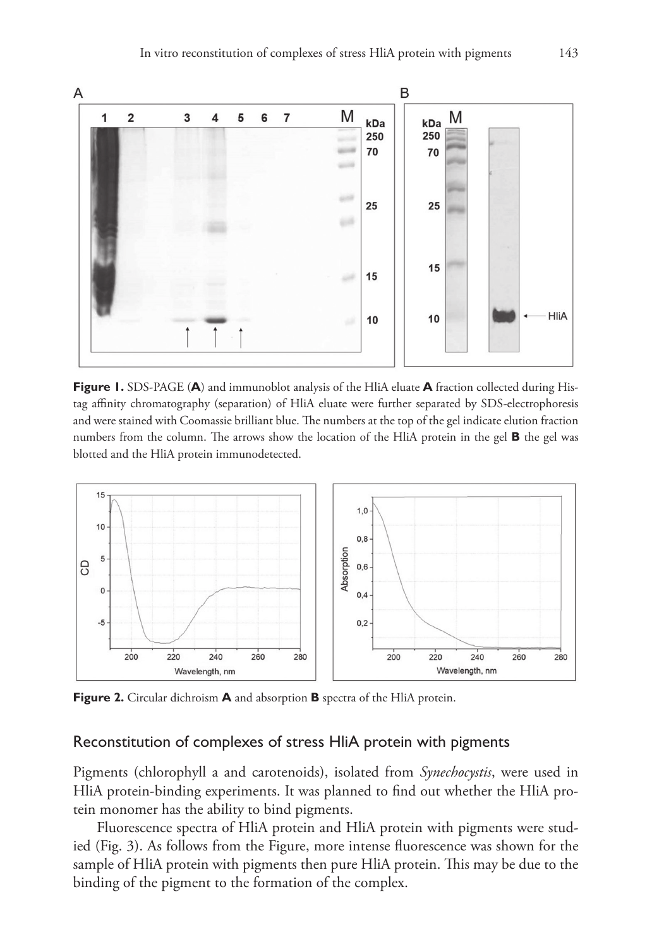

**Figure 1.** SDS-PAGE (**A**) and immunoblot analysis of the HliA eluate **A** fraction collected during Histag affinity chromatography (separation) of HliA eluate were further separated by SDS-electrophoresis and were stained with Coomassie brilliant blue. The numbers at the top of the gel indicate elution fraction numbers from the column. The arrows show the location of the HliA protein in the gel **B** the gel was blotted and the HliA protein immunodetected.



**Figure 2.** Circular dichroism **A** and absorption **B** spectra of the HliA protein.

# Reconstitution of complexes of stress HliA protein with pigments

Pigments (chlorophyll a and carotenoids), isolated from *Synechocystis*, were used in HliA protein-binding experiments. It was planned to find out whether the HliA protein monomer has the ability to bind pigments.

Fluorescence spectra of HliA protein and HliA protein with pigments were studied (Fig. 3). As follows from the Figure, more intense fluorescence was shown for the sample of HliA protein with pigments then pure HliA protein. This may be due to the binding of the pigment to the formation of the complex.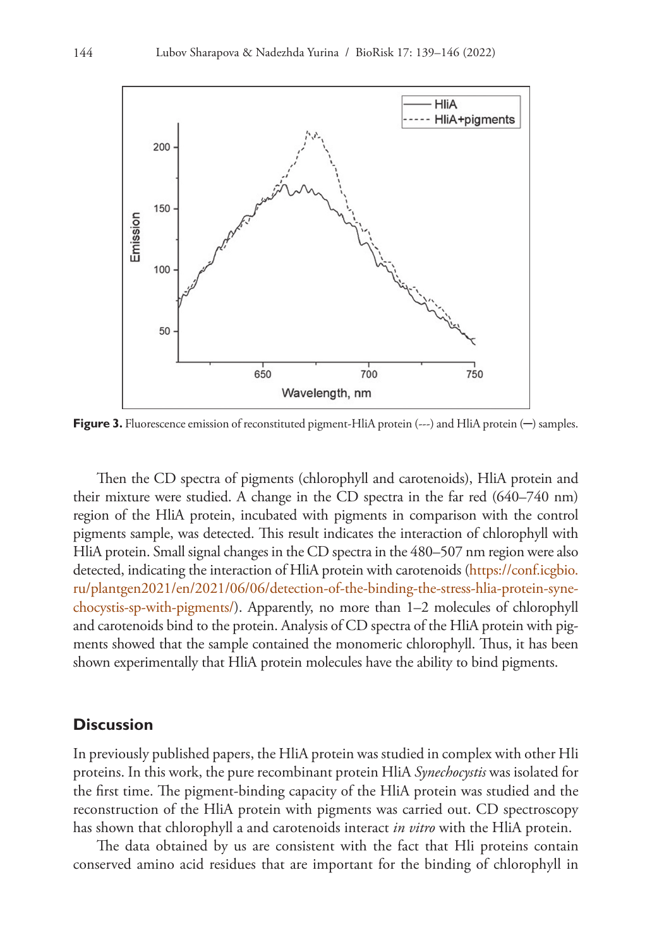

**Figure 3.** Fluorescence emission of reconstituted pigment-HliA protein (---) and HliA protein (-) samples.

Then the CD spectra of pigments (chlorophyll and carotenoids), HliA protein and their mixture were studied. A change in the CD spectra in the far red (640–740 nm) region of the HliA protein, incubated with pigments in comparison with the control pigments sample, was detected. This result indicates the interaction of chlorophyll with HliA protein. Small signal changes in the CD spectra in the 480–507 nm region were also detected, indicating the interaction of HliA protein with carotenoids ([https://conf.icgbio.](https://conf.icgbio.ru/plantgen2021/en/2021/06/06/detection-of-the-binding-the-stress-hlia-protein-synechocystis-sp-with-pigments/) [ru/plantgen2021/en/2021/06/06/detection-of-the-binding-the-stress-hlia-protein-syne](https://conf.icgbio.ru/plantgen2021/en/2021/06/06/detection-of-the-binding-the-stress-hlia-protein-synechocystis-sp-with-pigments/)[chocystis-sp-with-pigments/\)](https://conf.icgbio.ru/plantgen2021/en/2021/06/06/detection-of-the-binding-the-stress-hlia-protein-synechocystis-sp-with-pigments/). Apparently, no more than 1–2 molecules of chlorophyll and carotenoids bind to the protein. Analysis of CD spectra of the HliA protein with pigments showed that the sample contained the monomeric chlorophyll. Thus, it has been shown experimentally that HliA protein molecules have the ability to bind pigments.

#### **Discussion**

In previously published papers, the HliA protein was studied in complex with other Hli proteins. In this work, the pure recombinant protein HliA *Synechocystis* was isolated for the first time. The pigment-binding capacity of the HliA protein was studied and the reconstruction of the HliA protein with pigments was carried out. CD spectroscopy has shown that chlorophyll a and carotenoids interact *in vitro* with the HliA protein.

The data obtained by us are consistent with the fact that Hli proteins contain conserved amino acid residues that are important for the binding of chlorophyll in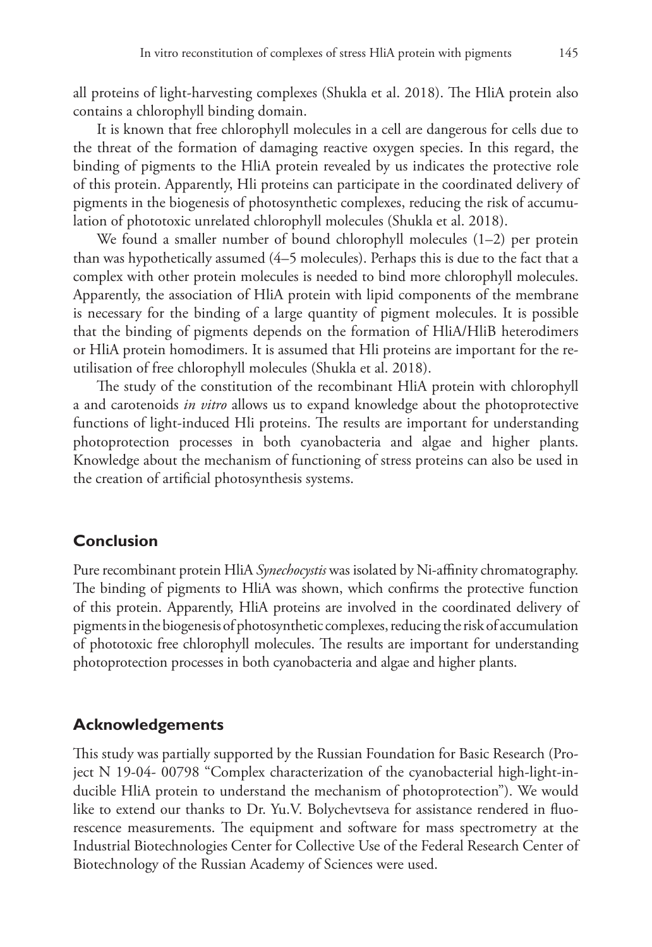all proteins of light-harvesting complexes (Shukla et al. 2018). The HliA protein also contains a chlorophyll binding domain.

It is known that free chlorophyll molecules in a cell are dangerous for cells due to the threat of the formation of damaging reactive oxygen species. In this regard, the binding of pigments to the HliA protein revealed by us indicates the protective role of this protein. Apparently, Hli proteins can participate in the coordinated delivery of pigments in the biogenesis of photosynthetic complexes, reducing the risk of accumulation of phototoxic unrelated chlorophyll molecules (Shukla et al. 2018).

We found a smaller number of bound chlorophyll molecules (1–2) per protein than was hypothetically assumed (4–5 molecules). Perhaps this is due to the fact that a complex with other protein molecules is needed to bind more chlorophyll molecules. Apparently, the association of HliA protein with lipid components of the membrane is necessary for the binding of a large quantity of pigment molecules. It is possible that the binding of pigments depends on the formation of HliA/HliB heterodimers or HliA protein homodimers. It is assumed that Hli proteins are important for the reutilisation of free chlorophyll molecules (Shukla et al. 2018).

The study of the constitution of the recombinant HliA protein with chlorophyll a and carotenoids *in vitro* allows us to expand knowledge about the photoprotective functions of light-induced Hli proteins. The results are important for understanding photoprotection processes in both cyanobacteria and algae and higher plants. Knowledge about the mechanism of functioning of stress proteins can also be used in the creation of artificial photosynthesis systems.

# **Conclusion**

Pure recombinant protein HliA *Synechocystis* was isolated by Ni-affinity chromatography. The binding of pigments to HliA was shown, which confirms the protective function of this protein. Apparently, HliA proteins are involved in the coordinated delivery of pigments in the biogenesis of photosynthetic complexes, reducing the risk of accumulation of phototoxic free chlorophyll molecules. The results are important for understanding photoprotection processes in both cyanobacteria and algae and higher plants.

# **Acknowledgements**

This study was partially supported by the Russian Foundation for Basic Research (Project N 19-04- 00798 "Complex characterization of the cyanobacterial high-light-inducible HliA protein to understand the mechanism of photoprotection"). We would like to extend our thanks to Dr. Yu.V. Bolychevtseva for assistance rendered in fluorescence measurements. The equipment and software for mass spectrometry at the Industrial Biotechnologies Center for Collective Use of the Federal Research Center of Biotechnology of the Russian Academy of Sciences were used.